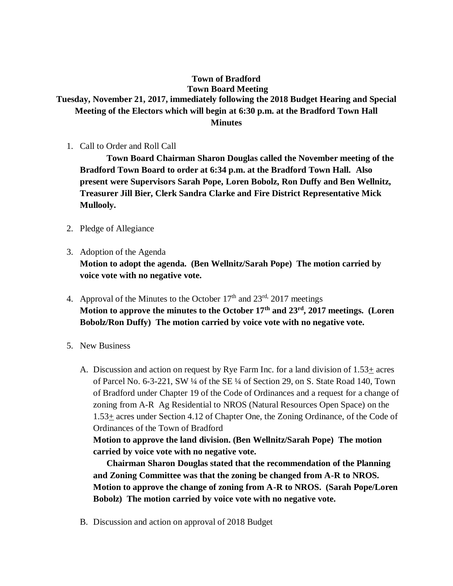## **Town of Bradford Town Board Meeting Tuesday, November 21, 2017, immediately following the 2018 Budget Hearing and Special Meeting of the Electors which will begin at 6:30 p.m. at the Bradford Town Hall Minutes**

1. Call to Order and Roll Call

**Town Board Chairman Sharon Douglas called the November meeting of the Bradford Town Board to order at 6:34 p.m. at the Bradford Town Hall. Also present were Supervisors Sarah Pope, Loren Bobolz, Ron Duffy and Ben Wellnitz, Treasurer Jill Bier, Clerk Sandra Clarke and Fire District Representative Mick Mullooly.**

- 2. Pledge of Allegiance
- 3. Adoption of the Agenda

**Motion to adopt the agenda. (Ben Wellnitz/Sarah Pope) The motion carried by voice vote with no negative vote.**

- 4. Approval of the Minutes to the October  $17<sup>th</sup>$  and  $23<sup>rd</sup>$ ,  $2017$  meetings **Motion to approve the minutes to the October 17th and 23rd, 2017 meetings. (Loren Bobolz/Ron Duffy) The motion carried by voice vote with no negative vote.**
- 5. New Business
	- A. Discussion and action on request by Rye Farm Inc. for a land division of  $1.53\pm$  acres of Parcel No. 6-3-221, SW ¼ of the SE ¼ of Section 29, on S. State Road 140, Town of Bradford under Chapter 19 of the Code of Ordinances and a request for a change of zoning from A-R Ag Residential to NROS (Natural Resources Open Space) on the 1.53+ acres under Section 4.12 of Chapter One, the Zoning Ordinance, of the Code of Ordinances of the Town of Bradford

**Motion to approve the land division. (Ben Wellnitz/Sarah Pope) The motion carried by voice vote with no negative vote.**

**Chairman Sharon Douglas stated that the recommendation of the Planning and Zoning Committee was that the zoning be changed from A-R to NROS. Motion to approve the change of zoning from A-R to NROS. (Sarah Pope/Loren Bobolz) The motion carried by voice vote with no negative vote.**

B. Discussion and action on approval of 2018 Budget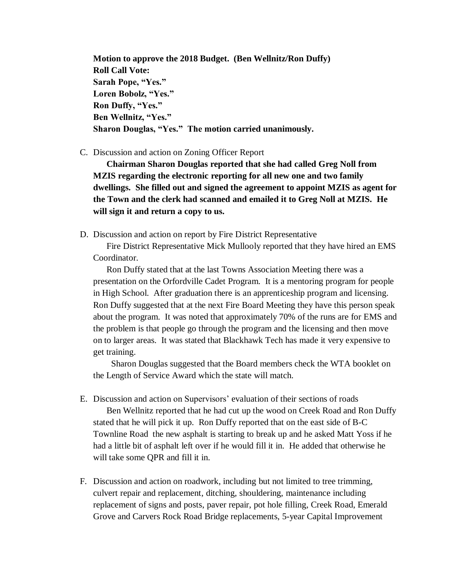**Motion to approve the 2018 Budget. (Ben Wellnitz/Ron Duffy) Roll Call Vote: Sarah Pope, "Yes." Loren Bobolz, "Yes." Ron Duffy, "Yes." Ben Wellnitz, "Yes." Sharon Douglas, "Yes." The motion carried unanimously.**

## C. Discussion and action on Zoning Officer Report

**Chairman Sharon Douglas reported that she had called Greg Noll from MZIS regarding the electronic reporting for all new one and two family dwellings. She filled out and signed the agreement to appoint MZIS as agent for the Town and the clerk had scanned and emailed it to Greg Noll at MZIS. He will sign it and return a copy to us.**

D. Discussion and action on report by Fire District Representative

Fire District Representative Mick Mullooly reported that they have hired an EMS Coordinator.

Ron Duffy stated that at the last Towns Association Meeting there was a presentation on the Orfordville Cadet Program. It is a mentoring program for people in High School. After graduation there is an apprenticeship program and licensing. Ron Duffy suggested that at the next Fire Board Meeting they have this person speak about the program. It was noted that approximately 70% of the runs are for EMS and the problem is that people go through the program and the licensing and then move on to larger areas. It was stated that Blackhawk Tech has made it very expensive to get training.

Sharon Douglas suggested that the Board members check the WTA booklet on the Length of Service Award which the state will match.

- E. Discussion and action on Supervisors' evaluation of their sections of roads Ben Wellnitz reported that he had cut up the wood on Creek Road and Ron Duffy stated that he will pick it up. Ron Duffy reported that on the east side of B-C Townline Road the new asphalt is starting to break up and he asked Matt Yoss if he had a little bit of asphalt left over if he would fill it in. He added that otherwise he will take some QPR and fill it in.
- F. Discussion and action on roadwork, including but not limited to tree trimming, culvert repair and replacement, ditching, shouldering, maintenance including replacement of signs and posts, paver repair, pot hole filling, Creek Road, Emerald Grove and Carvers Rock Road Bridge replacements, 5-year Capital Improvement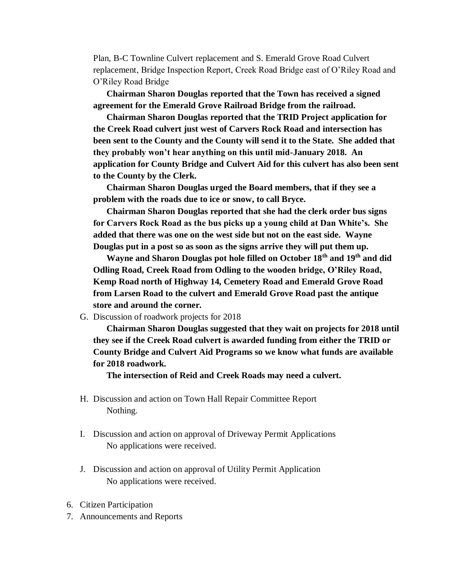Plan, B-C Townline Culvert replacement and S. Emerald Grove Road Culvert replacement, Bridge Inspection Report, Creek Road Bridge east of O'Riley Road and O'Riley Road Bridge

**Chairman Sharon Douglas reported that the Town has received a signed agreement for the Emerald Grove Railroad Bridge from the railroad.**

**Chairman Sharon Douglas reported that the TRID Project application for the Creek Road culvert just west of Carvers Rock Road and intersection has been sent to the County and the County will send it to the State. She added that they probably won't hear anything on this until mid-January 2018. An application for County Bridge and Culvert Aid for this culvert has also been sent to the County by the Clerk.** 

**Chairman Sharon Douglas urged the Board members, that if they see a problem with the roads due to ice or snow, to call Bryce.**

**Chairman Sharon Douglas reported that she had the clerk order bus signs for Carvers Rock Road as the bus picks up a young child at Dan White's. She added that there was one on the west side but not on the east side. Wayne Douglas put in a post so as soon as the signs arrive they will put them up.** 

**Wayne and Sharon Douglas pot hole filled on October 18th and 19th and did Odling Road, Creek Road from Odling to the wooden bridge, O'Riley Road, Kemp Road north of Highway 14, Cemetery Road and Emerald Grove Road from Larsen Road to the culvert and Emerald Grove Road past the antique store and around the corner.** 

## G. Discussion of roadwork projects for 2018

**Chairman Sharon Douglas suggested that they wait on projects for 2018 until they see if the Creek Road culvert is awarded funding from either the TRID or County Bridge and Culvert Aid Programs so we know what funds are available for 2018 roadwork.**

**The intersection of Reid and Creek Roads may need a culvert.** 

- H. Discussion and action on Town Hall Repair Committee Report Nothing.
- I. Discussion and action on approval of Driveway Permit Applications No applications were received.
- J. Discussion and action on approval of Utility Permit Application No applications were received.
- 6. Citizen Participation
- 7. Announcements and Reports